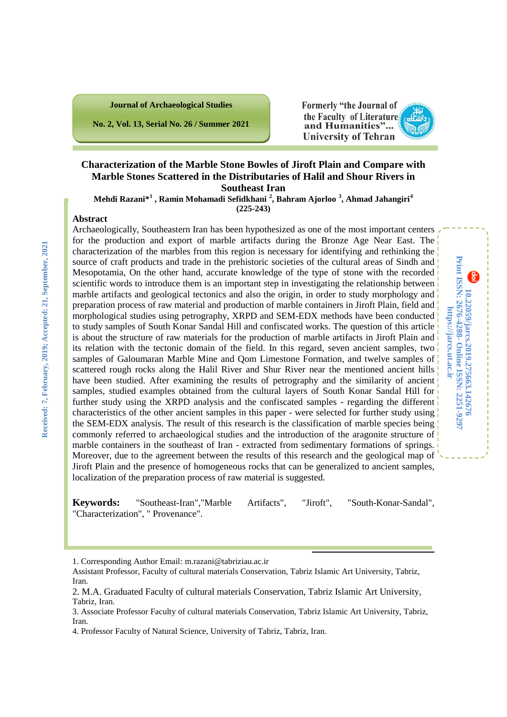**No. 2, Vol. 13, Serial No. 26 / Summer 2021**

#### Formerly "the Journal of the Faculty of Literatures and Humanities"... **University of Tehran**

**10.22059/jarcs.2019.275663.142676**

10.22059/jarcs.2019.275663.142676

**Online ISSN: 2251-9297**

**https://jarcs.ut.ac.ir**

https://jarcs.ut.ac.ir

**Print ISSN: 2676-4288-**

န

Print ISSN: 2676-4288- Online ISSN: 2251-9297

## **Characterization of the Marble Stone Bowles of Jiroft Plain and Compare with Marble Stones Scattered in the Distributaries of Halil and Shour Rivers in Southeast Iran**

**Mehdi Razani\*[1](#page-0-0) , Ramin Mohamadi Sefidkhani [2](#page-0-1) , Bahram Ajorloo [3](#page-0-2) , Ahmad Jahangiri [4](#page-0-3)**

**(225-243)**

#### **Abstract**

Archaeologically, Southeastern Iran has been hypothesized as one of the most important centers for the production and export of marble artifacts during the Bronze Age Near East. The characterization of the marbles from this region is necessary for identifying and rethinking the source of craft products and trade in the prehistoric societies of the cultural areas of Sindh and Mesopotamia, On the other hand, accurate knowledge of the type of stone with the recorded scientific words to introduce them is an important step in investigating the relationship between marble artifacts and geological tectonics and also the origin, in order to study morphology and preparation process of raw material and production of marble containers in Jiroft Plain, field and morphological studies using petrography, XRPD and SEM-EDX methods have been conducted to study samples of South Konar Sandal Hill and confiscated works. The question of this article is about the structure of raw materials for the production of marble artifacts in Jiroft Plain and its relation with the tectonic domain of the field. In this regard, seven ancient samples, two samples of Galoumaran Marble Mine and Qom Limestone Formation, and twelve samples of scattered rough rocks along the Halil River and Shur River near the mentioned ancient hills have been studied. After examining the results of petrography and the similarity of ancient samples, studied examples obtained from the cultural layers of South Konar Sandal Hill for further study using the XRPD analysis and the confiscated samples - regarding the different characteristics of the other ancient samples in this paper - were selected for further study using the SEM-EDX analysis. The result of this research is the classification of marble species being commonly referred to archaeological studies and the introduction of the aragonite structure of marble containers in the southeast of Iran - extracted from sedimentary formations of springs. Moreover, due to the agreement between the results of this research and the geological map of Jiroft Plain and the presence of homogeneous rocks that can be generalized to ancient samples, localization of the preparation process of raw material is suggested.

**Keywords:** "Southeast-Iran","Marble Artifacts", "Jiroft", "South-Konar-Sandal", "Characterization", " Provenance".

i,

<sup>1.</sup> Corresponding Author Email: m.razani@tabriziau.ac.ir

<span id="page-0-0"></span>Assistant Professor, Faculty of cultural materials Conservation, Tabriz Islamic Art University, Tabriz, Iran.

<span id="page-0-1"></span><sup>2.</sup> M.A. Graduated Faculty of cultural materials Conservation, Tabriz Islamic Art University, Tabriz, Iran.

<span id="page-0-2"></span><sup>3.</sup> Associate Professor Faculty of cultural materials Conservation, Tabriz Islamic Art University, Tabriz, Iran.

<span id="page-0-3"></span><sup>4.</sup> Professor Faculty of Natural Science, University of Tabriz, Tabriz, Iran.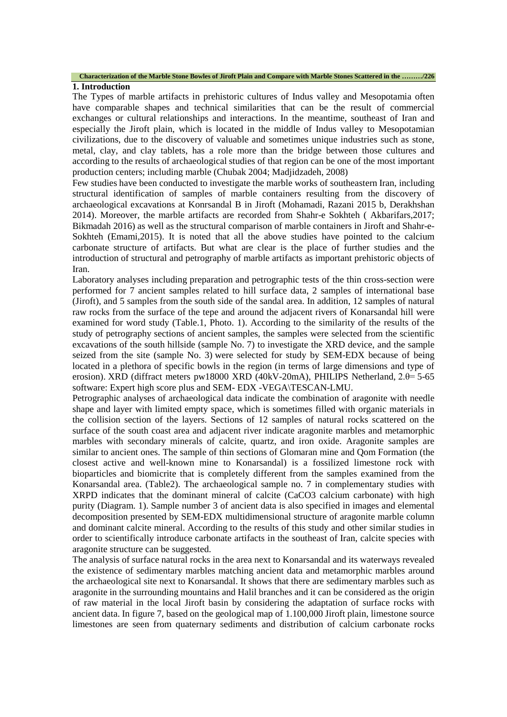#### **Characterization of the Marble Stone Bowles of Jiroft Plain and Compare with Marble Stones Scattered in the ………/226**

#### **1. Introduction**

The Types of marble artifacts in prehistoric cultures of Indus valley and Mesopotamia often have comparable shapes and technical similarities that can be the result of commercial exchanges or cultural relationships and interactions. In the meantime, southeast of Iran and especially the Jiroft plain, which is located in the middle of Indus valley to Mesopotamian civilizations, due to the discovery of valuable and sometimes unique industries such as stone, metal, clay, and clay tablets, has a role more than the bridge between those cultures and according to the results of archaeological studies of that region can be one of the most important production centers; including marble (Chubak 2004; Madjidzadeh, 2008)

Few studies have been conducted to investigate the marble works of southeastern Iran, including structural identification of samples of marble containers resulting from the discovery of archaeological excavations at Konrsandal B in Jiroft (Mohamadi, Razani 2015 b, Derakhshan 2014). Moreover, the marble artifacts are recorded from Shahr-e Sokhteh ( Akbarifars,2017; Bikmadah 2016) as well as the structural comparison of marble containers in Jiroft and Shahr-e-Sokhteh (Emami,2015). It is noted that all the above studies have pointed to the calcium carbonate structure of artifacts. But what are clear is the place of further studies and the introduction of structural and petrography of marble artifacts as important prehistoric objects of Iran.

Laboratory analyses including preparation and petrographic tests of the thin cross-section were performed for 7 ancient samples related to hill surface data, 2 samples of international base (Jiroft), and 5 samples from the south side of the sandal area. In addition, 12 samples of natural raw rocks from the surface of the tepe and around the adjacent rivers of Konarsandal hill were examined for word study (Table.1, Photo. 1). According to the similarity of the results of the study of petrography sections of ancient samples, the samples were selected from the scientific excavations of the south hillside (sample No. 7) to investigate the XRD device, and the sample seized from the site (sample No. 3) were selected for study by SEM-EDX because of being located in a plethora of specific bowls in the region (in terms of large dimensions and type of erosion). XRD (diffract meters pw18000 XRD (40kV-20mA), PHILIPS Netherland, 2.θ= 5-65 software: Expert high score plus and SEM- EDX -VEGA\TESCAN-LMU.

Petrographic analyses of archaeological data indicate the combination of aragonite with needle shape and layer with limited empty space, which is sometimes filled with organic materials in the collision section of the layers. Sections of 12 samples of natural rocks scattered on the surface of the south coast area and adjacent river indicate aragonite marbles and metamorphic marbles with secondary minerals of calcite, quartz, and iron oxide. Aragonite samples are similar to ancient ones. The sample of thin sections of Glomaran mine and Qom Formation (the closest active and well-known mine to Konarsandal) is a fossilized limestone rock with bioparticles and biomicrite that is completely different from the samples examined from the Konarsandal area. (Table2). The archaeological sample no. 7 in complementary studies with XRPD indicates that the dominant mineral of calcite (CaCO3 calcium carbonate) with high purity (Diagram. 1). Sample number 3 of ancient data is also specified in images and elemental decomposition presented by SEM-EDX multidimensional structure of aragonite marble column and dominant calcite mineral. According to the results of this study and other similar studies in order to scientifically introduce carbonate artifacts in the southeast of Iran, calcite species with aragonite structure can be suggested.

The analysis of surface natural rocks in the area next to Konarsandal and its waterways revealed the existence of sedimentary marbles matching ancient data and metamorphic marbles around the archaeological site next to Konarsandal. It shows that there are sedimentary marbles such as aragonite in the surrounding mountains and Halil branches and it can be considered as the origin of raw material in the local Jiroft basin by considering the adaptation of surface rocks with ancient data. In figure 7, based on the geological map of 1.100,000 Jiroft plain, limestone source limestones are seen from quaternary sediments and distribution of calcium carbonate rocks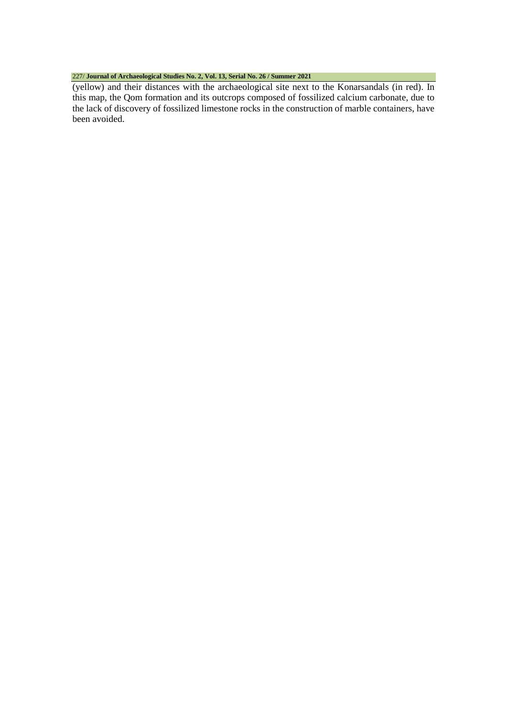## 227/ **Journal of Archaeological Studies No. 2, Vol. 13, Serial No. 26 / Summer 2021**

(yellow) and their distances with the archaeological site next to the Konarsandals (in red). In this map, the Qom formation and its outcrops composed of fossilized calcium carbonate, due to the lack of discovery of fossilized limestone rocks in the construction of marble containers, have been avoided.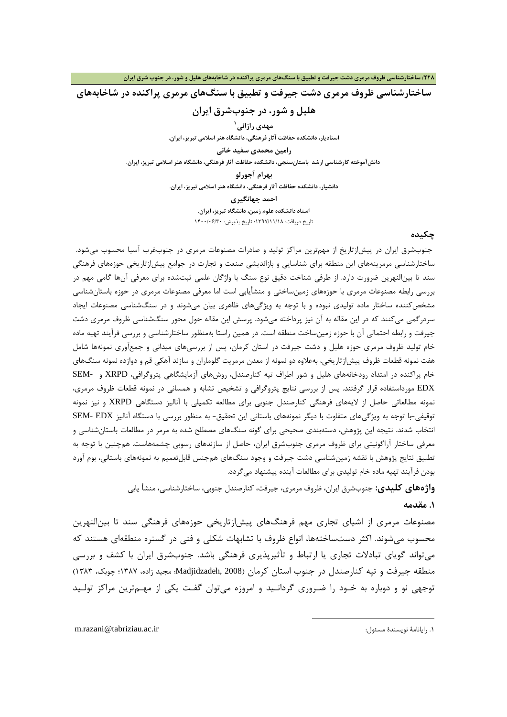## **ساختارشناسی ظروف مرمري دشت جیرفت و تطبیق با سنگهاي مرمري پراکنده در شاخابههاي**

## **هلیل و شور، در جنوبشرق ایران**

**[1](#page-3-0) مهدي رازانی**

**استادیار، دانشکده حفاظت آثار فرهنگی، دانشگاه هنر اسلامی تبریز، ایران.**

**رامین محمدي سفید خانی**

**دانشآموخته کارشناسی ارشد باستانسنجی، دانشکده حفاظت آثار فرهنگی، دانشگاه هنر اسلامی تبریز، ایران.**

**بهرام آجورلو**

**دانشیار، دانشکده حفاظت آثار فرهنگی، دانشگاه هنر اسلامی تبریز، ایران.**

**احمد جهانگیري**

**استاد دانشکده علوم زمین، دانشگاه تبریز، ایران.** تاریخ دریافت: 1397/11/18؛ تاریخ پذیرش: 1400/06/30

### **چکیده**

جنوبشرق ایران در پیشازتاریخ از مهمترین مراکز تولید و صادرات مصنوعات مرمري در جنوبغرب آسیا محسوب میشود. ساختارشناسی مرمرینههاي این منطقه براي شناسایی و بازاندیشی صنعت و تجارت در جوامع پیشازتاریخی حوزههاي فرهنگی سند تا بینالنهرین ضرورت دارد. از طرفی شناخت دقیق نوع سنگ با واژگان علمی ثبتشده براي معرفی آنها گامی مهم در بررسی رابطه مصنوعات مرمري با حوزههاي زمینساختی و منشأیابی است اما معرفی مصنوعات مرمري در حوزه باستانشناسی مشخصکننده ساختار ماده تولیدي نبوده و با توجه به ویژگیهاي ظاهري بیان میشوند و در سنگشناسی مصنوعات ایجاد سردرگمی میکنند که در این مقاله به آن نیز پرداخته میشود. پرسش این مقاله حول محور سنگشناسی ظروف مرمري دشت جیرفت و رابطه احتمالی آن با حوزه زمینساخت منطقه است. در همین راستا بهمنظور ساختارشناسی و بررسی فرآیند تهیه ماده خام تولید ظروف مرمري حوزه هلیل و دشت جیرفت در استان کرمان، پس از بررسیهاي میدانی و جمعآوري نمونهها شامل هفت نمونه قطعات ظروف پیشازتاریخی، بهعلاوه دو نمونه از معدن مرمریت گلوماران و سازند آهکی قم و دوازده نمونه سنگهاي خام پراکنده در امتداد رودخانههاي هلیل و شور اطراف تپه کنارصندل، روشهاي آزمایشگاهی پتروگرافی، XRPD و -SEM EDX مورداستفاده قرار گرفتند. پس از بررسی نتایج پتروگرافی و تشخیص تشابه و همسانی در نمونه قطعات ظروف مرمري، نمونه مطالعاتی حاصل از لایههاي فرهنگی کنارصندل جنوبی براي مطالعه تکمیلی با آنالیز دستگاهی XRPD و نیز نمونه توقیفی-با توجه به ویژگیهاي متفاوت با دیگر نمونههاي باستانی این تحقیق- به منظور بررسی با دستگاه آنالیز EDX -SEM انتخاب شدند. نتیجه این پژوهش، دستهبندي صحیحی براي گونه سنگهاي مصطلح شده به مرمر در مطالعات باستانشناسی و معرفی ساختار آراگونیتی براي ظروف مرمري جنوبشرق ایران، حاصل از سازندهاي رسوبی چشمههاست. همچنین با توجه به تطبیق نتایج پژوهش با نقشه زمینشناسی دشت جیرفت و وجود سنگهاي همجنس قابلتعمیم به نمونههاي باستانی، بوم آورد بودن فرآیند تهیه ماده خام تولیدي براي مطالعات آینده پیشنهاد میگردد.

**واژههاي کلیدي:** جنوبشرق ایران، ظروف مرمري، جیرفت، کنارصندل جنوبی، ساختارشناسی، منشأ یابی

1

#### **.1 مقدمه**

مصنوعات مرمري از اشیاي تجاري مهم فرهنگهاي پیشازتاریخی حوزههاي فرهنگی سند تا بینالنهرین محسوب میشوند. اکثر دستساختهها، انواع ظروف با تشابهات شکلی و فنی در گستره منطقهاي هستند که میتواند گویاي تبادلات تجاري یا ارتباط و تأثیرپذیري فرهنگی باشد. جنوبشرق ایران با کشف و بررسی منطقه جیرفت و تپه کنارصندل در جنوب استان کرمان (2008 ,Madjidzadeh؛ مجید زاده، 1387؛ چوبک، 1383) توجهی نو و دوباره به خـود را ضـروري گردانـید و امروزه میتوان گفـت یکی از مهـمترین مراکز تولـید

<span id="page-3-0"></span>m.razani@tabriziau.ac.ir :مسئول نویسندة رایانامۀ .1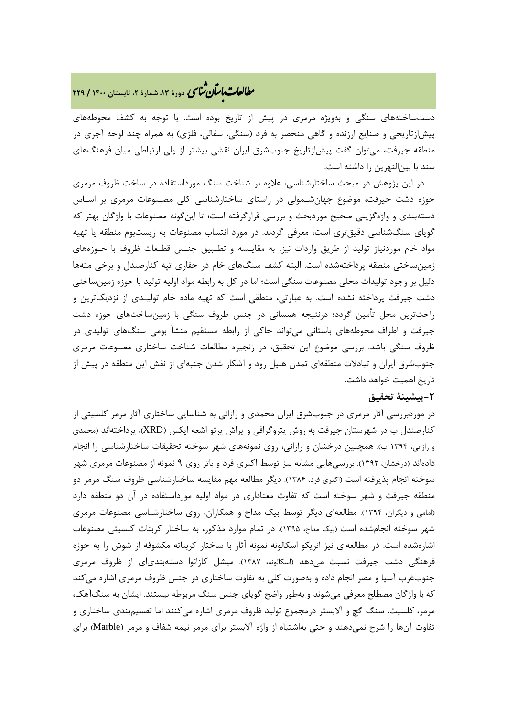## **، دورة ،13 شمارة ،2 تابستان <sup>1400</sup> / <sup>229</sup>** �نا� �طا ی �عات با�تان

دستساختههاي سنگی و بهویژه مرمري در پیش از تاریخ بوده است. با توجه به کشف محوطههاي پیشازتاریخی و صنایع ارزنده و گاهی منحصر به فرد (سنگی، سفالی، فلزي) به همراه چند لوحه آجري در منطقه جیرفت، میتوان گفت پیشازتاریخ جنوبشرق ایران نقشی بیشتر از پلی ارتباطی میان فرهنگهاي سند با بینالنهرین را داشته است.

 در این پژوهش در مبحث ساختارشناسی، علاوه بر شناخت سنگ مورداستفاده در ساخت ظروف مرمري حوزه دشت جیرفت، موضوع جهانشـمولی در راستاي ساختارشناسی کلی مصـنوعات مرمري بر اسـاس دستهبندي و واژهگزینی صحیح موردبحث و بررسی قرارگرفته است؛ تا اینگونه مصنوعات با واژگان بهتر که گویاي سنگشناسی دقیقتري است، معرفی گردند. در مورد انتساب مصنوعات به زیستبوم منطقه یا تهیه مواد خام موردنیاز تولید از طریق واردات نیز، به مقایـسه و تطـبیق جنـس قطـعات ظروف با حـوزههاي زمینساختی منطقه پرداختهشده است. البته کشف سنگهاي خام در حفاري تپه کنارصندل و برخی متهها دلیل بر وجود تولیدات محلی مصنوعات سنگی است؛ اما در کل به رابطه مواد اولیه تولید با حوزه زمینساختی دشت جیرفت پرداخته نشده است. به عبارتی، منطقی است که تهیه ماده خام تولیـدي از نزدیکترین و راحتترین محل تأمین گردد؛ درنتیجه همسانی در جنس ظروف سنگی با زمینساختهاي حوزه دشت جیرفت و اطراف محوطههاي باستانی میتواند حاکی از رابطه مستقیم منشأ بومی سنگهاي تولیدي در ظروف سنگی باشد. بررسی موضوع این تحقیق، در زنجیره مطالعات شناخت ساختاري مصنوعات مرمري جنوبشرق ایران و تبادلات منطقهاي تمدن هلیل رود و آشکار شدن جنبهاي از نقش این منطقه در پیش از تاریخ اهمیت خواهد داشت.

## **-2پیشینۀ تحقیق**

در موردبررسی آثار مرمري در جنوبشرق ایران محمدي و رازانی به شناسایی ساختاري آثار مرمر کلسیتی از کنارصندل ب در شهرستان جیرفت به روش پتروگرافی و پراش پرتو اشعه ایکس (XRD(، پرداختهاند (محمدي و رازانی، 1394 ب). همچنین درخشان و رازانی، روي نمونههاي شهر سوخته تحقیقات ساختارشناسی را انجام دادهاند (درخشان، 1392). بررسیهایی مشابه نیز توسط اکبري فرد و باتر روي 9 نمونه از مصنوعات مرمري شهر سوخته انجام پذیرفته است (اکبري فرد، 1386). دیگر مطالعه مهم مقایسه ساختارشناسی ظروف سنگ مرمر دو منطقه جیرفت و شهر سوخته است که تفاوت معناداري در مواد اولیه مورداستفاده در آن دو منطقه دارد (امامی و دیگران، 1394). مطالعهاي دیگر توسط بیک مداح و همکاران، روي ساختارشناسی مصنوعات مرمري شهر سوخته انجامشده است (بیک مداح، 1395). در تمام موارد مذکور، به ساختار کربنات کلسیتی مصنوعات اشارهشده است. در مطالعهاي نیز انریکو اسکالونه نمونه آثار با ساختار کربناته مکشوفه از شوش را به حوزه فرهنگی دشت جیرفت نسبت میدهد (اسکالونه، 1387). میشل کازانوا دستهبندياي از ظروف مرمري جنوبغرب آسیا و مصر انجام داده و بهصورت کلی به تفاوت ساختاري در جنس ظروف مرمري اشاره میکند که با واژگان مصطلح معرفی میشوند و بهطور واضح گویاي جنس سنگ مربوطه نیستند. ایشان به سنگآهک، مرمر، کلسیت، سنگ گچ و آلابستر درمجموع تولید ظروف مرمري اشاره میکنند اما تقسیمبندي ساختاري و تفاوت آنها را شرح نمیدهند و حتی بهاشتباه از واژه آلابستر براي مرمر نیمه شفاف و مرمر (Marble (براي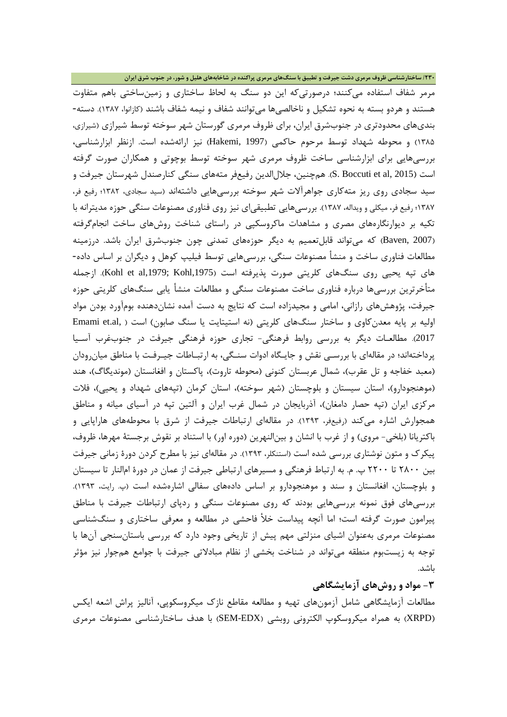**/230 ساختارشناسی ظروف مرمري دشت جیرفت و تطبیق با سنگهاي مرمري پراکنده در شاخابههاي هلیل و شور، در جنوب شرق ایران**

مرمر شفاف استفاده میکنند؛ درصورتیکه این دو سنگ به لحاظ ساختاري و زمینساختی باهم متفاوت هستند و هردو بسته به نحوه تشکیل و ناخالصیها میتوانند شفاف و نیمه شفاف باشند (کازانوا، 1387). دسته- بنديهاي محدودتري در جنوبشرق ایران، براي ظروف مرمري گورستان شهر سوخته توسط شیرازي (شیرازي، 1385) و محوطه شهداد توسط مرحوم حاکمی (1997 ,Hakemi (نیز ارائهشده است. ازنظر ابزارشناسی، بررسیهایی براي ابزارشناسی ساخت ظروف مرمري شهر سوخته توسط بوچوتی و همکاران صورت گرفته است (S. Boccuti et al, 2015). همچنین، جلال|لدین رفیعفر متههای سنگی کنارصندل شهرستان جیرفت و سید سجادي روي ریز متهکاري جواهرآلات شهر سوخته بررسیهایی داشتهاند (سید سجادي، 1382؛ رفیع فر، 1387؛ رفیع فر، میکلی و ویداله، 1387). بررسیهایی تطبیقیاي نیز روي فناوري مصنوعات سنگی حوزه مدیترانه با تکیه بر دیوارنگارههاي مصري و مشاهدات ماکروسکپی در راستاي شناخت روشهاي ساخت انجامگرفته (2007 ,Baven (که میتواند قابلتعمیم به دیگر حوزههاي تمدنی چون جنوبشرق ایران باشد. درزمینه مطالعات فناوري ساخت و منشأ مصنوعات سنگی، بررسیهایی توسط فیلیپ کوهل و دیگران بر اساس داده- هاي تپه یحیی روی سنگهای کلریتی صورت پذیرفته است (Kohl et al,1979; Kohl,1975). ازجمله متأخرترین بررسیها درباره فناوري ساخت مصنوعات سنگی و مطالعات منشأ یابی سنگهاي کلریتی حوزه جیرفت، پژوهشهاي رازانی، امامی و مجیدزاده است که نتایج به دست آمده نشاندهنده بومآورد بودن مواد اولیه بر پایه معدن کاوی و ساختار سنگهای کلریتی (نه استیتایت یا سنگ صابون) است ( ,Emami et.al 2017). مطالعـات دیگر به بررسی روابط فرهنگی- تجاري حوزه فرهنگی جیرفت در جنوبغرب آسـیا پرداختهاند؛ در مقالهاي با بررسـی نقش و جایـگاه ادوات سنـگی، به ارتبـاطات جیـرفـت با مناطق میانرودان (معبد خفاجه و تل عقرب)، شمال عربستان کنونی (محوطه تاروت)، پاکستان و افغانستان (موندیگاگ)، هند (موهنجودارو)، استان سیستان و بلوچستان (شهر سوخته)، استان کرمان (تپههاي شهداد و یحیی)، فلات مرکزي ایران (تپه حصار دامغان)، آذربایجان در شمال غرب ایران و آلتین تپه در آسیاي میانه و مناطق همجوارش اشاره میکند (رفیعفر، 1393). در مقالهاي ارتباطات جیرفت از شرق با محوطههاي هاراپایی و باکتریانا (بلخی- مروي) و از غرب با انشان و بینالنهرین (دوره اور) با استناد بر نقوش برجستۀ مهرها، ظروف، پیکرك و متون نوشتاري بررسی شده است (استنکلر، 1393). در مقالهاي نیز با مطرح کردن دورة زمانی جیرفت بین 2800 تا 2200 پ. م. به ارتباط فرهنگی و مسیرهاي ارتباطی جیرفت از عمان در دورة امالنار تا سیستان و بلوچستان، افغانستان و سند و موهنجودارو بر اساس دادههاي سفالی اشارهشده است (پ. رایت، 1393). بررسیهاي فوق نمونه بررسیهایی بودند که روي مصنوعات سنگی و ردپاي ارتباطات جیرفت با مناطق پیرامون صورت گرفته است؛ اما آنچه پیداست خلأ فاحشی در مطالعه و معرفی ساختاري و سنگشناسی مصنوعات مرمري بهعنوان اشیاي منزلتی مهم پیش از تاریخی وجود دارد که بررسی باستانسنجی آنها با توجه به زیستبوم منطقه میتواند در شناخت بخشی از نظام مبادلاتی جیرفت با جوامع همجوار نیز مؤثر باشد.

## **-3 مواد و روشهاي آزمایشگاهی**

مطالعات آزمایشگاهی شامل آزمونهاي تهیه و مطالعه مقاطع نازك میکروسکوپی، آنالیز پراش اشعه ایکس (XRPD (به همراه میکروسکوپ الکترونی روبشی (EDX-SEM (با هدف ساختارشناسی مصنوعات مرمري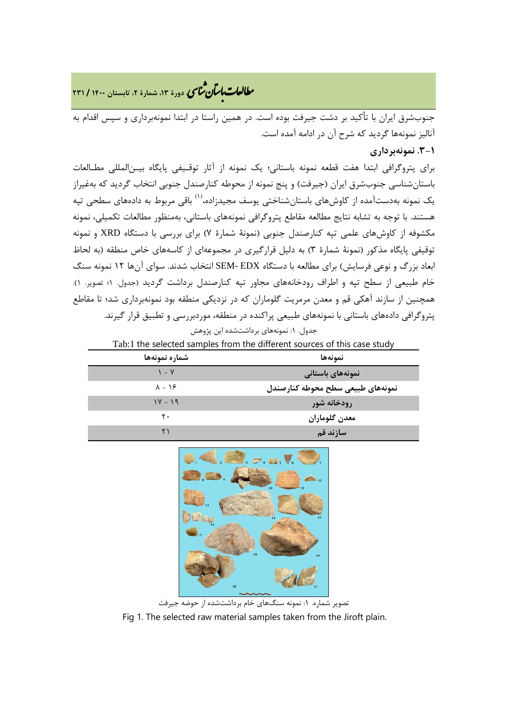**، دورة ،13 شمارة ،2 تابستان <sup>1400</sup> / <sup>231</sup>** �نا� �طا ی �عات با�تان

جنوبشرق ایران با تأکید بر دشت جیرفت بوده است. در همین راستا در ابتدا نمونهبرداري و سپس اقدام به آنالیز نمونهها گردید که شرح آن در ادامه آمده است.

**.3-1 نمونهبرداري**

براي پتروگرافی ابتدا هفت قطعه نمونه باستانی؛ یک نمونه از آثار توقـیفی پایگاه بیـنالمللی مطـالعات باستانشناسی جنوبشرق ایران (جیرفت) و پنج نمونه از محوطه کنارصندل جنوبی انتخاب گردید که بهغیراز یک نمونه به دستآمده از کاوشهای باستانشناختی یوسف مجیدزاده،<sup>(۱)</sup> باقی مربوط به دادههای سطحی تپه هستند. با توجه به تشابه نتایج مطالعه مقاطع پتروگرافی نمونههاي باستانی، بهمنظور مطالعات تکمیلی، نمونه مکشوفه از کاوشهاي علمی تپه کنارصندل جنوبی (نمونۀ شمارة 7) براي بررسی با دستگاه XRD و نمونه توقیفی پایگاه مذکور (نمونۀ شمارة 3) به دلیل قرارگیري در مجموعهاي از کاسههاي خاص منطقه (به لحاظ ابعاد بزرگ و نوعی فرسایش) براي مطالعه با دستگاه EDX -SEM انتخاب شدند. سواي آنها 12 نمونه سنگ خام طبیعی از سطح تپه و اطراف رودخانههاي مجاور تپه کنارصندل برداشت گردید (جدول. 1؛ تصویر. 1). همچنین از سازند آهکی قم و معدن مرمریت گلوماران که در نزدیکی منطقه بود نمونهبرداري شد؛ تا مقاطع پتروگرافی دادههاي باستانی با نمونههاي طبیعی پراکنده در منطقه، موردبررسی و تطبیق قرار گیرند. جدول. ١: نمونههاي برداشتشده اين پژوهش

| Tab:1 the selected samples from the different sources of this case study |                                   |
|--------------------------------------------------------------------------|-----------------------------------|
| شماره نمونهها                                                            | نمونهها                           |
| $V - V$                                                                  | نمونههای باستانی                  |
| $\lambda - 19$                                                           | نمونههاى طبيعى سطح محوطه كنارصندل |
| $1Y - 19$                                                                | رودخانه شور                       |
| ٢٠                                                                       | معدن گلوماران                     |
|                                                                          | سازند قم                          |



تصویر شماره. :1 نمونه سنگهاي خام برداشتشده از حوضه جیرفت Fig 1. The selected raw material samples taken from the Jiroft plain.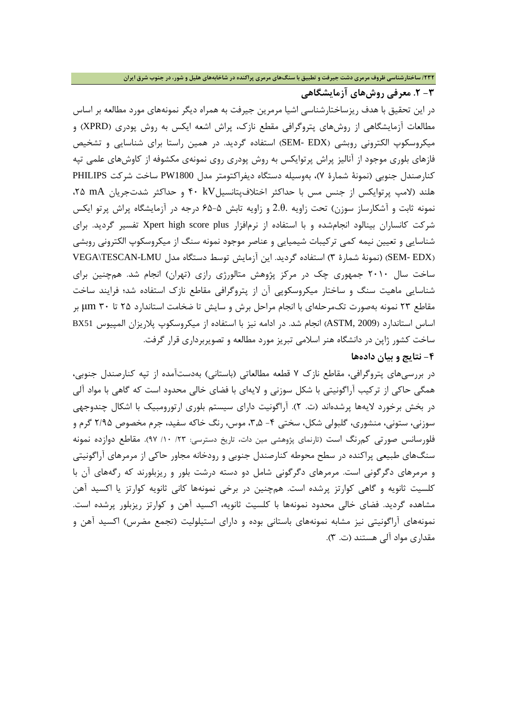#### **/232 ساختارشناسی ظروف مرمري دشت جیرفت و تطبیق با سنگهاي مرمري پراکنده در شاخابههاي هلیل و شور، در جنوب شرق ایران**

## **-3 .2 معرفی روشهاي آزمایشگاهی**

در این تحقیق با هدف ریزساختارشناسی اشیا مرمرین جیرفت به همراه دیگر نمونههاي مورد مطالعه بر اساس مطالعات آزمایشگاهی از روشهاي پتروگرافی مقطع نازك، پراش اشعه ایکس به روش پودري (XPRD (و میکروسکوپ الکترونی روبشی (EDX -SEM (استفاده گردید. در همین راستا براي شناسایی و تشخیص فازهاي بلوري موجود از آنالیز پراش پرتوایکس به روش پودري روي نمونهي مکشوفه از کاوشهاي علمی تپه کنارصندل جنوبی (نمونۀ شمارة 7)، بهوسیله دستگاه دیفراکتومتر مدل 1800PW ساخت شرکت PHILIPS هلند (لامپ پرتوایکس از جنس مس با حداکثر اختلافپتانسیلkV 40 و حداکثر شدتجریان mA ،25 نمونه ثابت و آشکارساز سوزن) تحت زاویه .θ2. و زاویه تابش 65-5 درجه در آزمایشگاه پراش پرتو ایکس شرکت کانساران بینالود انجامشده و با استفاده از نرمافزار plus score high Xpert تفسیر گردید. براي شناسایی و تعیین نیمه کمی ترکیبات شیمیایی و عناصر موجود نمونه سنگ از میکروسکوپ الکترونی روبشی (SEM-EDX) (نمونۀ شمارهٔ ۳) استفاده گردید. این آزمایش توسط دستگاه مدل VEGA\TESCAN-LMU ساخت سال 2010 جمهوري چک در مرکز پژوهش متالورژي رازي (تهران) انجام شد. همچنین براي شناسایی ماهیت سنگ و ساختار میکروسکوپی آن از پتروگرافی مقاطع نازك استفاده شد؛ فرایند ساخت مقاطع 23 نمونه بهصورت تکمرحلهاي با انجام مراحل برش و سایش تا ضخامت استاندارد 25 تا 30 μm بر اساس استاندارد (2009 ,ASTM (انجام شد. در ادامه نیز با استفاده از میکروسکوپ پلاریزان المپیوس 51BX ساخت کشور ژاپن در دانشگاه هنر اسلامی تبریز مورد مطالعه و تصویربرداري قرار گرفت.

## **-4 نتایج و بیان دادهها**

در بررسیهاي پتروگرافی، مقاطع نازك 7 قطعه مطالعاتی (باستانی) بهدستآمده از تپه کنارصندل جنوبی، همگی حاکی از ترکیب آراگونیتی با شکل سوزنی و لایهاي با فضاي خالی محدود است که گاهی با مواد آلی در بخش برخورد لایهها پرشدهاند (ت. 2). آراگونیت داراي سیستم بلوري ارتورومبیک با اشکال چندوجهی سوزنی، ستونی، منشوری، گلبولی شکل، سختی ۴- ۲٫۵، موس، رنگ خاکه سفید، جرم مخصوص ۲/۹۵ گرم و فلورسانس صورتی کمرنگ است (تارنماي پژوهشی مین دات، تاریخ دسترسی: /23 /10 97). مقاطع دوازده نمونه سنگهاي طبیعی پراکنده در سطح محوطه کنارصندل جنوبی و رودخانه مجاور حاکی از مرمرهاي آراگونیتی و مرمرهاي دگرگونی است. مرمرهاي دگرگونی شامل دو دسته درشت بلور و ریزبلورند که رگههاي آن با کلسیت ثانویه و گاهی کوارتز پرشده است. همچنین در برخی نمونهها کانی ثانویه کوارتز یا اکسید آهن مشاهده گردید. فضاي خالی محدود نمونهها با کلسیت ثانویه، اکسید آهن و کوارتز ریزبلور پرشده است. نمونههاي آراگونیتی نیز مشابه نمونههاي باستانی بوده و داراي استیلولیت (تجمع مضرس) اکسید آهن و مقداري مواد آلی هستند (ت. 3).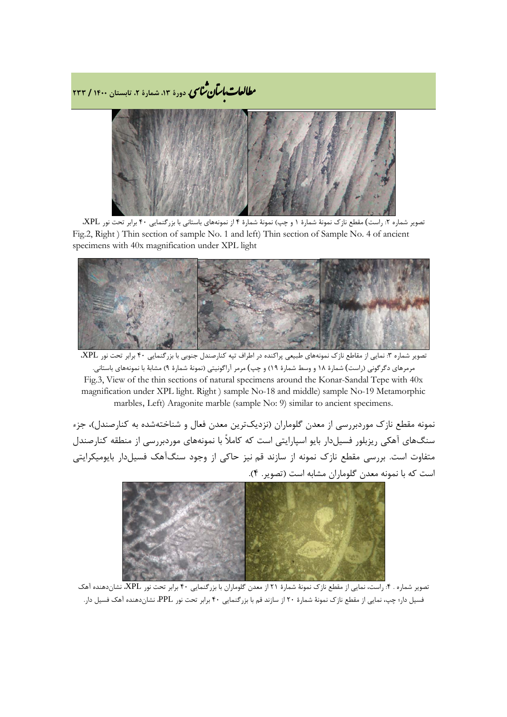**، دورة ،13 شمارة ،2 تابستان <sup>1400</sup> / <sup>233</sup>** �نا� �طا ی �عات با�تان



تصویر شماره :2 راست) مقطع نازك نمونۀ شمارة 1 و چپ) نمونۀ شمارة 4 از نمونههاي باستانی با بزرگنمایی 40 برابر تحت نور XPL، Fig.2, Right ) Thin section of sample No. 1 and left) Thin section of Sample No. 4 of ancient specimens with 40x magnification under XPL light



تصویر شماره ۳: نمایی از مقاطع نازک نمونههای طبیعی پراکنده در اطراف تپه کنارصندل جنوبی با بزرگنمایی ۴۰ برابر تحت نور XPL، مرمرهاي دگرگونی (راست) شمارة 18 و وسط شمارة 19) و چپ) مرمر آراگونیتی (نمونۀ شمارة 9) مشابۀ با نمونههاي باستانی. Fig.3, View of the thin sections of natural specimens around the Konar-Sandal Tepe with 40x magnification under XPL light. Right ) sample No-18 and middle) sample No-19 Metamorphic marbles, Left) Aragonite marble (sample No: 9) similar to ancient specimens.

نمونه مقطع نازك موردبررسی از معدن گلوماران (نزدیکترین معدن فعال و شناختهشده به کنارصندل)، جزء سنگهاي آهکی ریزبلور فسیلدار بایو اسپارایتی است که کاملاً با نمونههاي موردبررسی از منطقه کنارصندل متفاوت است. بررسی مقطع نازك نمونه از سازند قم نیز حاکی از وجود سنگآهک فسیلدار بایومیکرایتی است که با نمونه معدن گلوماران مشابه است (تصویر. 4).



تصویر شماره . ۴: راست، نمایی از مقطع نازک نمونۀ شمارۀ ۲۱ از معدن گلوماران با بزرگنمایی ۴۰ برابر تحت نور XPL، نشاندهنده آهک فسیل دار؛ چپ، نمایی از مقطع نازك نمونۀ شمارة 20 از سازند قم با بزرگنمایی 40 برابر تحت نور PPL، نشاندهنده آهک فسیل دار.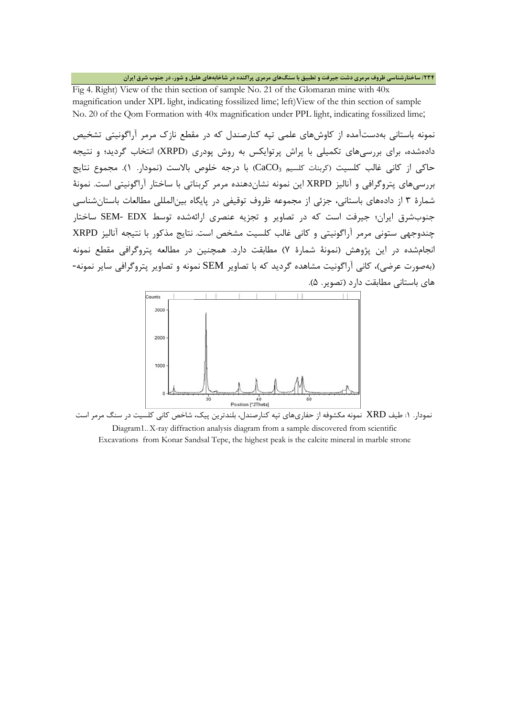#### **/234 ساختارشناسی ظروف مرمري دشت جیرفت و تطبیق با سنگهاي مرمري پراکنده در شاخابههاي هلیل و شور، در جنوب شرق ایران**

Fig 4. Right) View of the thin section of sample No. 21 of the Glomaran mine with 40x magnification under XPL light, indicating fossilized lime; left)View of the thin section of sample No. 20 of the Qom Formation with 40x magnification under PPL light, indicating fossilized lime;

نمونه باستانی بهدستآمده از کاوشهاي علمی تپه کنارصندل که در مقطع نازك مرمر آراگونیتی تشخیص دادهشده، براي بررسیهاي تکمیلی با پراش پرتوایکس به روش پودري (XRPD (انتخاب گردید؛ و نتیجه حاکی از کانی غالب کلسیت (کربنات کلسیم CaCO3) با درجه خلوص بالاست (نمودار. ۱). مجموع نتایج بررسیهاي پتروگرافی و آنالیز XRPD این نمونه نشاندهنده مرمر کربناتی با ساختار آراگونیتی است. نمونۀ شمارة 3 از دادههاي باستانی، جزئی از مجموعه ظروف توقیفی در پایگاه بینالمللی مطالعات باستانشناسی جنوبشرق ایران؛ جیرفت است که در تصاویر و تجزیه عنصري ارائهشده توسط EDX -SEM ساختار چندوجهی ستونی مرمر آراگونیتی و کانی غالب کلسیت مشخص است. نتایج مذکور با نتیجه آنالیز XRPD انجامشده در این پژوهش (نمونۀ شمارة 7) مطابقت دارد. همچنین در مطالعه پتروگرافی مقطع نمونه (بهصورت عرضی)، کانی آراگونیت مشاهده گردید که با تصاویر SEM نمونه و تصاویر پتروگرافی سایر نمونه- هاي باستانی مطابقت دارد (تصویر. 5).



نمودار. :1 طیف XRD نمونه مکشوفه از حفاريهاي تپه کنارصندل، بلندترین پیک، شاخص کانی کلسیت در سنگ مرمر است Diagram1.. X-ray diffraction analysis diagram from a sample discovered from scientific Excavations from Konar Sandsal Tepe, the highest peak is the calcite mineral in marble strone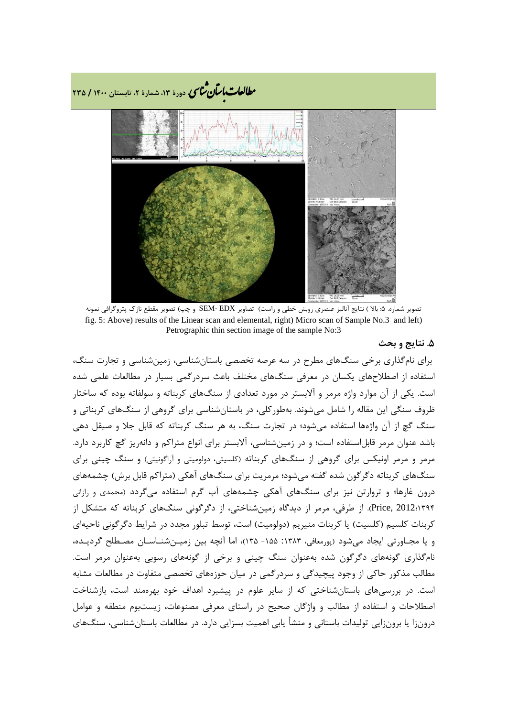**، دورة ،13 شمارة ،2 تابستان <sup>1400</sup> / <sup>235</sup>** �نا� �طا ی �عات با�تان



تصویر شماره. :5 بالا ) نتایج آنالیز عنصري روبش خطی و راست) تصاویر EDX -SEM و چپ) تصویر مقطع نازك پتروگرافی نمونه fig. 5: Above) results of the Linear scan and elemental, right) Micro scan of Sample No.3 and left) Petrographic thin section image of the sample No:3

#### **.5 نتایج و بحث**

براي نامگذاري برخی سنگهاي مطرح در سه عرصه تخصصی باستانشناسی، زمینشناسی و تجارت سنگ، استفاده از اصطلاحهاي یکسان در معرفی سنگهاي مختلف باعث سردرگمی بسیار در مطالعات علمی شده است. یکی از آن موارد واژه مرمر و آلابستر در مورد تعدادي از سنگهاي کربناته و سولفاته بوده که ساختار ظروف سنگی این مقاله را شامل میشوند. بهطورکلی، در باستانشناسی براي گروهی از سنگهاي کربناتی و سنگ گچ از آن واژهها استفاده میشود؛ در تجارت سنگ، به هر سنگ کربناته که قابل جلا و صیقل دهی باشد عنوان مرمر قابلاستفاده است؛ و در زمینشناسی، آلابستر براي انواع متراکم و دانهریز گچ کاربرد دارد. مرمر و مرمر اونیکس براي گروهی از سنگهاي کربناته (کلسیتی، دولومیتی و آراگونیتی) و سنگ چینی براي سنگهاي کربناته دگرگون شده گفته میشود؛ مرمریت براي سنگهاي آهکی (متراکم قابل برش) چشمههاي درون غارها؛ و تروارتن نیز براي سنگهاي آهکی چشمههاي آب گرم استفاده میگردد (محمدي و رازانی 1394؛2012 ,Price(. از طرفی، مرمر از دیدگاه زمینشناختی، از دگرگونی سنگهاي کربناته که متشکل از کربنات کلسیم (کلسیت) یا کربنات منیریم (دولومیت) است، توسط تبلور مجدد در شرایط دگرگونی ناحیهاي و یا مجـاورتی ایجاد میشود (پورمعافی، :1383 -155 135)، اما آنچه بین زمیـنشنـاسـان مصـطلح گردیـده، نامگذاري گونههاي دگرگون شده بهعنوان سنگ چینی و برخی از گونههاي رسوبی بهعنوان مرمر است. مطالب مذکور حاکی از وجود پیچیدگی و سردرگمی در میان حوزههاي تخصصی متفاوت در مطالعات مشابه است. در بررسیهاي باستانشناختی که از سایر علوم در پیشبرد اهداف خود بهرهمند است، بازشناخت اصطلاحات و استفاده از مطالب و واژگان صحیح در راستاي معرفی مصنوعات، زیستبوم منطقه و عوامل درونزا یا برونزایی تولیدات باستانی و منشأ یابی اهمیت بسزایی دارد. در مطالعات باستانشناسی، سنگهاي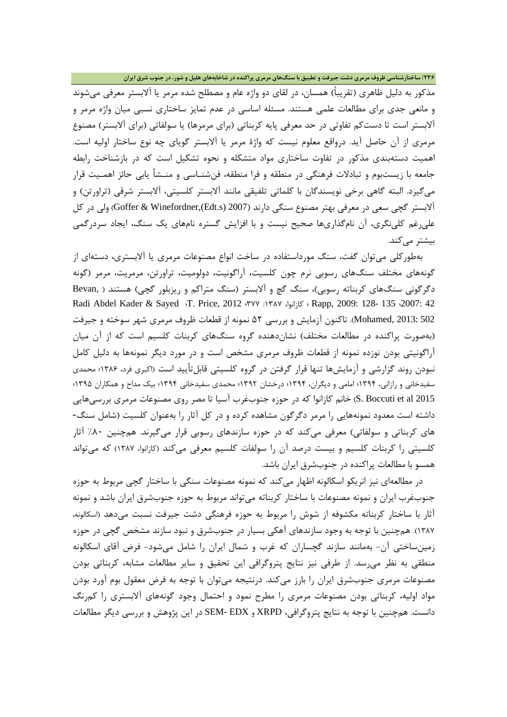#### **/236 ساختارشناسی ظروف مرمري دشت جیرفت و تطبیق با سنگهاي مرمري پراکنده در شاخابههاي هلیل و شور، در جنوب شرق ایران**

مذکور به دلیل ظاهري (تقریباً) همسان، در لقاي دو واژه عام و مصطلح شده مرمر یا آلابستر معرفی میشوند و مانعی جدي براي مطالعات علمی هستند. مسئله اساسی در عدم تمایز ساختاري نسبی میان واژه مرمر و آلابستر است تا دستکم تفاوتی در حد معرفی پایه کربناتی (براي مرمرها) یا سولفاتی (براي آلابستر) مصنوع مرمري از آن حاصل آید. درواقع معلوم نیست که واژة مرمر یا آلابستر گویاي چه نوع ساختار اولیه است. اهمیت دستهبندي مذکور در تفاوت ساختاري مواد متشکله و نحوه تشکیل است که در بازشناخت رابطه جامعه با زیستبوم و تبادلات فرهنگی در منطقه و فرا منطقه، فنشنـاسی و منـشأ یابی حائز اهمـیت قرار میگیرد. البته گاهی برخی نویسندگان با کلماتی تلفیقی مانند آلابستر کلسیتی، آلابستر شرقی (تراورتن) و آلابستر گچی سعی در معرفی بهتر مصنوع سنگی دارند (2007 (s.Edt(,Winefordner & Goffer (ولی در کل علیرغم کلینگري، آن نامگذاريها صحیح نیست و با افزایش گستره نامهاي یک سنگ، ایجاد سردرگمی بیشتر مے کند.

بهطورکلی میتوان گفت، سنگ مورداستفاده در ساخت انواع مصنوعات مرمري یا آلابستري، دستهاي از گونههاي مختلف سنگهاي رسوبی نرم چون کلسیت، آراگونیت، دولومیت، تراورتن، مرمریت، مرمر (گونه دگرگونی سنگهاي کربناته رسوبی)، سنگ گچ و آلابستر (سنگ متراکم و ریزبلور گچی) هستند ( ,Bevan Radi Abdel Kader & Sayed ؛T. Price, 2012 ؛377 :1387 ،کازانوا ؛ Rapp, 2009: 128- 135 ؛2007: 42 502 2013: ,Mohamed(. تاکنون آزمایش و بررسی 52 نمونه از قطعات ظروف مرمري شهر سوخته و جیرفت (بهصورت پراکنده در مطالعات مختلف) نشاندهنده گروه سنگهاي کربنات کلسیم است که از آن میان آراگونیتی بودن نوزده نمونه از قطعات ظروف مرمري مشخص است و در مورد دیگر نمونهها به دلیل کامل نبودن روند گزارشی و آزمایشها تنها قرار گرفتن در گروه کلسیتی قابلتأیید است (اکبري فرد، 1386؛ محمدي سفیدخانی و رازانی، 1394؛ امامی و دیگران، 1394؛ درخشان 1392؛ محمدي سفیدخانی 1394؛ بیک مداح و همکاران 1395؛ 2015 al et Boccuti .S (خانم کازانوا که در حوزه جنوبغرب آسیا تا مصر روي مصنوعات مرمري بررسیهایی داشته است معدود نمونههایی را مرمر دگرگون مشاهده کرده و در کل آثار را بهعنوان کلسیت (شامل سنگ- هاي کربناتی و سولفاتی) معرفی میکند که در حوزه سازندهاي رسوبی قرار میگیرند. همچنین %80 آثار کلسیتی را کربنات کلسیم و بیست درصد آن را سولفات کلسیم معرفی میکند (کازانوا، 1387) که میتواند همسو با مطالعات پراکنده در جنوبشرق ایران باشد.

در مطالعهاي نیز انریکو اسکالونه اظهار میکند که نمونه مصنوعات سنگی با ساختار گچی مربوط به حوزه جنوبغرب ایران و نمونه مصنوعات با ساختار کربناته میتواند مربوط به حوزه جنوبشرق ایران باشد و نمونه آثار با ساختار کربناته مکشوفه از شوش را مربوط به حوزه فرهنگی دشت جیرفت نسبت میدهد (اسکالونه، 1387). همچنین با توجه به وجود سازندهاي آهکی بسیار در جنوبشرق و نبود سازند مشخص گچی در حوزه زمینساختی آن- بهمانند سازند گچساران که غرب و شمال ایران را شامل میشود- فرض آقاي اسکالونه منطقی به نظر میرسد. از طرفی نیز نتایج پتروگرافی این تحقیق و سایر مطالعات مشابه، کربناتی بودن مصنوعات مرمري جنوبشرق ایران را بارز میکند. درنتیجه میتوان با توجه به فرض معقول بوم آورد بودن مواد اولیه، کربناتی بودن مصنوعات مرمري را مطرح نمود و احتمال وجود گونههاي آلابستري را کمرنگ دانست. همچنین با توجه به نتایج پتروگرافی، XRPD و EDX -SEM در این پژوهش و بررسی دیگر مطالعات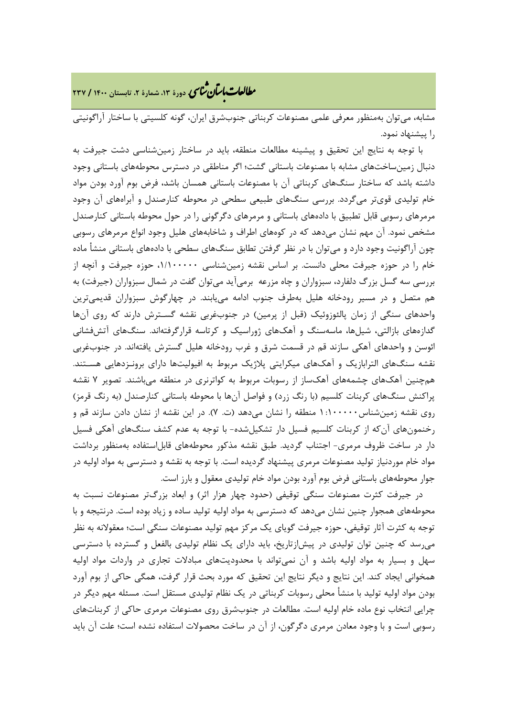# **، دورة ،13 شمارة ،2 تابستان <sup>1400</sup> / <sup>237</sup>** �نا� �طا ی �عات با�تان

مشابه، میتوان بهمنظور معرفی علمی مصنوعات کربناتی جنوبشرق ایران، گونه کلسیتی با ساختار آراگونیتی را پیشنهاد نمود.

با توجه به نتایج این تحقیق و پیشینه مطالعات منطقه، باید در ساختار زمینشناسی دشت جیرفت به دنبال زمینساختهاي مشابه با مصنوعات باستانی گشت؛ اگر مناطقی در دسترس محوطههاي باستانی وجود داشته باشد که ساختار سنگهاي کربناتی آن با مصنوعات باستانی همسان باشد، فرض بوم آورد بودن مواد خام تولیدي قويتر میگردد. بررسی سنگهاي طبیعی سطحی در محوطه کنارصندل و آبراههاي آن وجود مرمرهاي رسوبی قابل تطبیق با دادههاي باستانی و مرمرهاي دگرگونی را در حول محوطه باستانی کنارصندل مشخص نمود. آن مهم نشان میدهد که در کوههاي اطراف و شاخابههاي هلیل وجود انواع مرمرهاي رسوبی چون آراگونیت وجود دارد و میتوان با در نظر گرفتن تطابق سنگهاي سطحی با دادههاي باستانی منشأ ماده خام را در حوزه جیرفت محلی دانست. بر اساس نقشه زمینشناسی ،1/100000 حوزه جیرفت و آنچه از بررسی سه گسل بزرگ دلفارد، سبزواران و چاه مزرعه برمیآید میتوان گفت در شمال سبزواران (جیرفت) به هم متصل و در مسیر رودخانه هلیل بهطرف جنوب ادامه مییابند. در چهارگوش سبزواران قدیمیترین واحدهاي سنگی از زمان پالئوزوئیک (قبل از پرمین) در جنوبغربی نقشه گسـترش دارند که روي آنها گدازههاي بازالتی، شیلها، ماسهسنگ و آهکهاي ژوراسیک و کرتاسه قرارگرفتهاند. سنگهاي آتشفشانی ائوسن و واحدهاي آهکی سازند قم در قسمت شرق و غرب رودخانه هلیل گسترش یافتهاند. در جنوبغربی نقشه سنگهاي الترابازیک و آهکهاي میکرایتی پلاژیک مربوط به افیولیتها داراي برونـزدهایی هسـتند. همچنین آهکهاي چشمههاي آهکساز از رسوبات مربوط به کواترنري در منطقه میباشند. تصویر 7 نقشه پراکنش سنگهاي کربنات کلسیم (با رنگ زرد) و فواصل آنها با محوطه باستانی کنارصندل (به رنگ قرمز) روي نقشه زمینشناس1:100000 منطقه را نشان میدهد (ت. 7). در این نقشه از نشان دادن سازند قم و رخنمونهاي آنکه از کربنات کلسیم فسیل دار تشکیلشده- با توجه به عدم کشف سنگهاي آهکی فسیل دار در ساخت ظروف مرمری- اجتناب گردید. طبق نقشه مذکور محوطههای قابل|ستفاده بهمنظور برداشت مواد خام موردنیاز تولید مصنوعات مرمري پیشنهاد گردیده است. با توجه به نقشه و دسترسی به مواد اولیه در جوار محوطههاي باستانی فرض بوم آورد بودن مواد خام تولیدي معقول و بارز است.

در جیرفت کثرت مصنوعات سنگی توقیفی (حدود چهار هزار اثر) و ابعاد بزرگتر مصنوعات نسبت به محوطههاي همجوار چنین نشان میدهد که دسترسی به مواد اولیه تولید ساده و زیاد بوده است. درنتیجه و با توجه به کثرت آثار توقیفی، حوزه جیرفت گویاي یک مرکز مهم تولید مصنوعات سنگی است؛ معقولانه به نظر میرسد که چنین توان تولیدي در پیشازتاریخ، باید داراي یک نظام تولیدي بالفعل و گسترده با دسترسی سهل و بسیار به مواد اولیه باشد و آن نمیتواند با محدودیتهاي مبادلات تجاري در واردات مواد اولیه همخوانی ایجاد کند. این نتایج و دیگر نتایج این تحقیق که مورد بحث قرار گرفت، همگی حاکی از بوم آورد بودن مواد اولیه تولید با منشأ محلی رسوبات کربناتی در یک نظام تولیدي مستقل است. مسئله مهم دیگر در چرایی انتخاب نوع ماده خام اولیه است. مطالعات در جنوبشرق روي مصنوعات مرمري حاکی از کربناتهاي رسوبی است و با وجود معادن مرمري دگرگون، از آن در ساخت محصولات استفاده نشده است؛ علت آن باید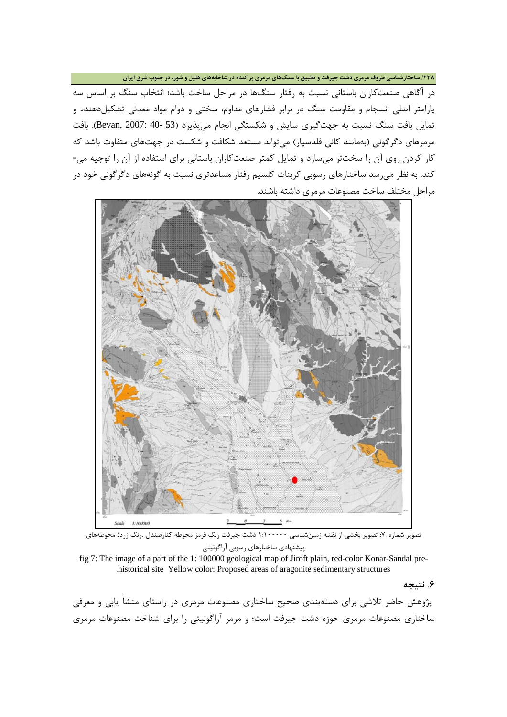**/238 ساختارشناسی ظروف مرمري دشت جیرفت و تطبیق با سنگهاي مرمري پراکنده در شاخابههاي هلیل و شور، در جنوب شرق ایران**

در آگاهی صنعتکاران باستانی نسبت به رفتار سنگها در مراحل ساخت باشد؛ انتخاب سنگ بر اساس سه پارامتر اصلی انسجام و مقاومت سنگ در برابر فشارهاي مداوم، سختی و دوام مواد معدنی تشکیلدهنده و تمایل بافت سنگ نسبت به جهتگیری سایش و شکستگی انجام میپذیرد (53 -40 :Bevan, 2007). بافت مرمرهاي دگرگونی (بهمانند کانی فلدسپار) میتواند مستعد شکافت و شکست در جهتهاي متفاوت باشد که کار کردن روي آن را سختتر میسازد و تمایل کمتر صنعتکاران باستانی براي استفاده از آن را توجیه می- کند. به نظر میرسد ساختارهاي رسوبی کربنات کلسیم رفتار مساعدتري نسبت به گونههاي دگرگونی خود در مراحل مختلف ساخت مصنوعات مرمري داشته باشند.



تصویر شماره. ۷: تصویر بخشی از نقشه زمینشناسی ۱:۱۰۰۰۰۰ دشت جیرفت رنگ قرمز محوطه کنارصندل .رنگ زرد: محوطههای پیشنهادي ساختارهاي رسوبی آراگونیتی

fig 7: The image of a part of the 1: 100000 geological map of Jiroft plain, red-color Konar-Sandal pre- .historical site Yellow color: Proposed areas of aragonite sedimentary structures

**.6 نتیجه**

پژوهش حاضر تلاشی براي دستهبندي صحیح ساختاري مصنوعات مرمري در راستاي منشأ یابی و معرفی ساختاري مصنوعات مرمري حوزه دشت جیرفت است؛ و مرمر آراگونیتی را براي شناخت مصنوعات مرمري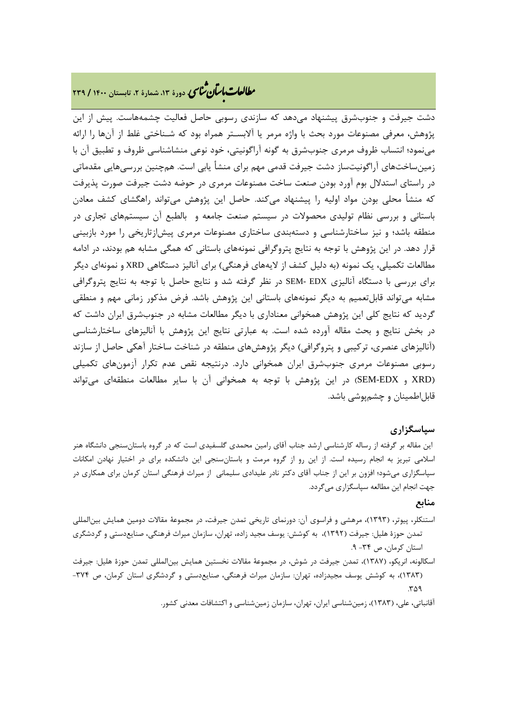# **، دورة ،13 شمارة ،2 تابستان <sup>1400</sup> / <sup>239</sup>** �نا� �طا ی �عات با�تان

دشت جیرفت و جنوبشرق پیشنهاد میدهد که سازندي رسوبی حاصل فعالیت چشمههاست. پیش از این پژوهش، معرفی مصنوعات مورد بحث با واژه مرمر یا آلابسـتر همراه بود که شـناختی غلط از آنها را ارائه مینمود؛ انتساب ظروف مرمري جنوبشرق به گونه آراگونیتی، خود نوعی منشاشناسی ظروف و تطبیق آن با زمینساختهاي آراگونیتساز دشت جیرفت قدمی مهم براي منشأ یابی است. همچنین بررسیهایی مقدماتی در راستاي استدلال بوم آورد بودن صنعت ساخت مصنوعات مرمري در حوضه دشت جیرفت صورت پذیرفت که منشأ محلی بودن مواد اولیه را پیشنهاد میکند. حاصل این پژوهش میتواند راهگشاي کشف معادن باستانی و بررسی نظام تولیدي محصولات در سیستم صنعت جامعه و بالطبع آن سیستمهاي تجاري در منطقه باشد؛ و نیز ساختارشناسی و دستهبندي ساختاري مصنوعات مرمري پیشازتاریخی را مورد بازبینی قرار دهد. در این پژوهش با توجه به نتایج پتروگرافی نمونههاي باستانی که همگی مشابه هم بودند، در ادامه مطالعات تکمیلی، یک نمونه (به دلیل کشف از لایههاي فرهنگی) براي آنالیز دستگاهی XRD و نمونهاي دیگر براي بررسی با دستگاه آنالیزي EDX -SEM در نظر گرفته شد و نتایج حاصل با توجه به نتایج پتروگرافی مشابه میتواند قابلتعمیم به دیگر نمونههاي باستانی این پژوهش باشد. فرض مذکور زمانی مهم و منطقی گردید که نتایج کلی این پژوهش همخوانی معناداري با دیگر مطالعات مشابه در جنوبشرق ایران داشت که در بخش نتایج و بحث مقاله آورده شده است. به عبارتی نتایج این پژوهش با آنالیزهاي ساختارشناسی (آنالیزهاي عنصري، ترکیبی و پتروگرافی) دیگر پژوهشهاي منطقه در شناخت ساختار آهکی حاصل از سازند رسوبی مصنوعات مرمري جنوبشرق ایران همخوانی دارد. درنتیجه نقص عدم تکرار آزمونهاي تکمیلی (XRD و EDX-SEM (در این پژوهش با توجه به همخوانی آن با سایر مطالعات منطقهاي میتواند قابلاطمینان و چشمپوشی باشد.

## **سپاسگزاري**

این مقاله بر گرفته از رساله کارشناسی ارشد جناب آقاي رامین محمدي گلسفیدي است که در گروه باستانسنجی دانشگاه هنر اسلامی تبریز به انجام رسیده است. از این رو از گروه مرمت و باستانسنجی این دانشکده براي در اختیار نهادن امکانات سپاسگزاري میشود؛ افزون بر این از جناب آقاي دکتر نادر علیدادي سلیمانی از میراث فرهنگی استان کرمان براي همکاري در جهت انجام این مطالعه سپاسگزاري میگردد.

## **منابع**

- استنکلر، پیوتر، (1393)، مرهشی و فراسوي آن: دورنماي تاریخی تمدن جیرفت، در مجموعۀ مقالات دومین همایش بینالمللی تمدن حوزة هلیل: جیرفت (1392)، به کوشش: یوسف مجید زاده، تهران، سازمان میراث فرهنگی، صنایعدستی و گردشگري استان کرمان، ص -34 .9
- اسکالونه، انریکو، (1387)، تمدن جیرفت در شوش، در مجموعۀ مقالات نخستین همایش بینالمللی تمدن حوزة هلیل: جیرفت (1383)، به کوشش یوسف مجیدزاده، تهران: سازمان میراث فرهنگی، صنایعدستی و گردشگري استان کرمان، ص -374  $r_A$

آقانباتی، علی، (1383)، زمینشناسی ایران، تهران، سازمان زمینشناسی و اکتشافات معدنی کشور.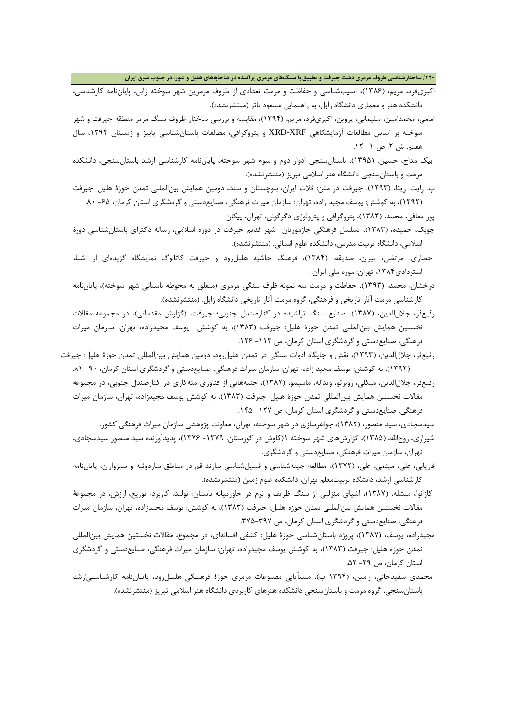**/240 ساختارشناسی ظروف مرمري دشت جیرفت و تطبیق با سنگهاي مرمري پراکنده در شاخابههاي هلیل و شور، در جنوب شرق ایران**

- اکبريفرد، مریم، (1386)، آسیبشناسی و حفاظت و مرمت تعدادي از ظروف مرمرین شهر سوخته زابل، پایاننامه کارشناسی، دانشکده هنر و معماري دانشگاه زابل، به راهنمایی مسعود باتر (منتشرنشده).
- امامی، محمدامین، سلیمانی، پروین، اکبريفرد، مریم، (1394)، مقایسه و بررسی ساختار ظروف سنگ مرمر منطقه جیرفت و شهر سوخته بر اساس مطالعات آزمایشگاهی XRF-XRD و پتروگرافی، مطالعات باستانشناسی پاییز و زمستان ،1394 سال هفتم، ش ۲، ص ۱- ۱۲.
- بیک مداح، حسین، (1395)، باستانسنجی ادوار دوم و سوم شهر سوخته، پایاننامه کارشناسی ارشد باستانسنجی، دانشکده مرمت و باستانسنجی دانشگاه هنر اسلامی تبریز (منتشرنشده).
- پ. رایت. ریتا، (1393)، جیرفت در متن: فلات ایران، بلوچستان و سند، دومین همایش بینالمللی تمدن حوزة هلیل: جیرفت (1392)، به کوشش: یوسف مجید زاده، تهران: سازمان میراث فرهنگی، صنایعدستی و گردشگري استان کرمان، -65 .80

پور معافی، محمد، (1383)، پتروگرافی و پترولوژي دگرگونی، تهران، پیکان

- چوبک، حمیده، (1383)، تسلسل فرهنگی جازموریان- شهر قدیم جیرفت در دوره اسلامی، رساله دکتراي باستانشناسی دورة اسلامی، دانشگاه تربیت مدرس، دانشکده علوم انسانی. (منتشرنشده).
- حصاري، مرتضی، پیران، صدیقه، (1384)، فرهنگ حاشیه هلیلرود و جیرفت کاتالوگ نمایشگاه گزیدهاي از اشیاء استردادي،1384 تهران: موزه ملی ایران.
- درخشان، محمد، (1393)، حفاظت و مرمت سه نمونه ظرف سنگی مرمري (متعلق به محوطه باستانی شهر سوخته)، پایاننامه کارشناسی مرمت آثار تاریخی و فرهنگی، گروه مرمت آثار تاریخی دانشگاه زابل. (منتشرنشده).
- رفیعفر، جلالالدین، (1387)، صنایع سنگ تراشیده در کنارصندل جنوبی؛ جیرفت، (گزارش مقدماتی)، در مجموعه مقالات نخستین همایش بینالمللی تمدن حوزة هلیل: جیرفت (1383)، به کوشش یوسف مجیدزاده، تهران، سازمان میراث فرهنگی، صنایعدستی و گردشگري استان کرمان، ص -113 .126
- رفیعفر، جلالالدین، (1393)، نقش و جایگاه ادوات سنگی در تمدن هلیلرود، دومین همایش بینالمللی تمدن حوزة هلیل: جیرفت (1392)، به کوشش: یوسف مجید زاده، تهران: سازمان میراث فرهنگی، صنایعدستی و گردشگري استان کرمان، -90 .81
	- رفیعفر، جلالالدین، میکلی، روبرتو، ویداله، ماسیمو، (1387)، جنبههایی از فناوري متهکاري در کنارصندل جنوبی، در مجموعه مقالات نخستین همایش بینالمللی تمدن حوزة هلیل: جیرفت (1383)، به کوشش یوسف مجیدزاده، تهران، سازمان میراث فرهنگی، صنایعدستی و گردشگري استان کرمان، ص -127 .145

سیدسجادي، سید منصور، (1382)، جواهرسازي در شهر سوخته، تهران، معاونت پژوهشی سازمان میراث فرهنگی کشور.

- شیرازي، روحاالله، (1385)، گزارشهاي شهر سوخته 1(کاوش در گورستان، -1379 1376)، پدیدآورنده سید منصور سیدسجادي، تهران، سازمان میراث فرهنگی، صنایعدستی و گردشگري.
- فاریابی، علی، میثمی، علی، (1372)، مطالعه چینهشناسی و فسیلشناسی سازند قم در مناطق ساردوئیه و سبزواران، پایاننامه کارشناسی ارشد، دانشگاه تربیتمعلم تهران، دانشکده علوم زمین (منتشرنشده).
- کازانوا، میشله، (1387)، اشیاي منزلتی از سنگ ظریف و نرم در خاورمیانه باستان: تولید، کاربرد، توزیع، ارزش، در مجموعۀ مقالات نخستین همایش بینالمللی تمدن حوزه هلیل: جیرفت (1383)، به کوشش: یوسف مجیدزاده، تهران، سازمان میراث فرهنگی، صنایعدستی و گردشگري استان کرمان، ص .375-397
- مجیدزاده، یوسف، (1387)، پروژه باستانشناسی حوزة هلیل: کشفی افسانهاي، در مجموع، مقالات نخستین همایش بینالمللی تمدن حوزه هلیل: جیرفت (1383)، به کوشش یوسف مجیدزاده، تهران: سازمان میراث فرهنگی، صنایعدستی و گردشگري استان کرمان، ص -29 .52
- محمدي سفیدخانی، رامین، (-1394ب)، منشأیابی مصنوعات مرمري حوزة فرهنـگی هلیـلرود، پایـاننامه کارشناسـیارشد باستانسنجی، گروه مرمت و باستانسنجی دانشکده هنرهاي کاربردي دانشگاه هنر اسلامی تبریز (منتشرنشده).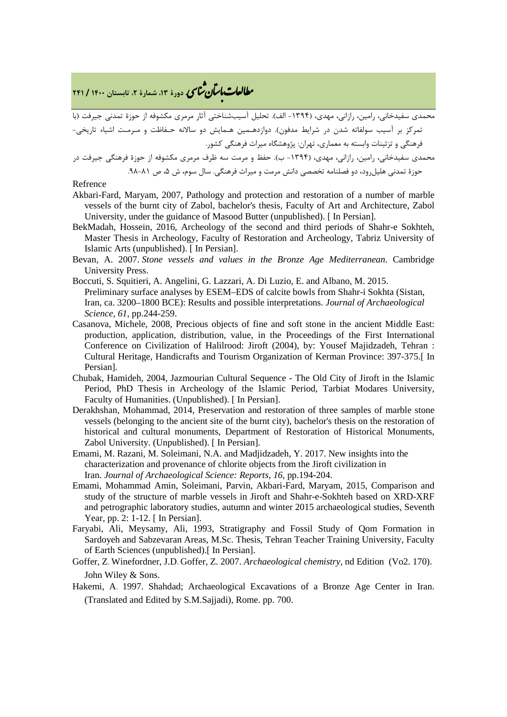**، دورة ،13 شمارة ،2 تابستان <sup>1400</sup> / <sup>241</sup>** �نا� �طا ی �عات با�تان

محمدي سفیدخانی، رامین، رازانی، مهدي، (-1394 الف). تحلیل آسیبشناختی آثار مرمري مکشوفه از حوزة تمدنی جیرفت (با تمرکز بر آسیب سولفاته شدن در شرایط مدفون). دوازدهـمین هـمایش دو سالانه حـفاظت و مـرمـت اشیاء تاریخی- فرهنگی و تزئینات وابسته به معماري، تهران: پژوهشگاه میراث فرهنگی کشور.

محمدي سفیدخانی، رامین، رازانی، مهدي، (-1394 ب). حفظ و مرمت سه ظرف مرمري مکشوفه از حوزة فرهنگی جیرفت در حوزة تمدنی هلیل ود، دو فصلنامه تخصصی دانش مرمت و میراث فرهنگی. سال سوم، ش ۵، ص ۸۱-۹۸.

#### Refrence

- Akbari-Fard, Maryam, 2007, Pathology and protection and restoration of a number of marble vessels of the burnt city of Zabol, bachelor's thesis, Faculty of Art and Architecture, Zabol University, under the guidance of Masood Butter (unpublished). [ In Persian].
- BekMadah, Hossein, 2016, Archeology of the second and third periods of Shahr-e Sokhteh, Master Thesis in Archeology, Faculty of Restoration and Archeology, Tabriz University of Islamic Arts (unpublished). [ In Persian].
- Bevan, A. 2007. *Stone vessels and values in the Bronze Age Mediterranean*. Cambridge University Press.
- Boccuti, S. Squitieri, A. Angelini, G. Lazzari, A. Di Luzio, E. and Albano, M. 2015. Preliminary surface analyses by ESEM–EDS of calcite bowls from Shahr-i Sokhta (Sistan, Iran, ca. 3200–1800 BCE): Results and possible interpretations. *Journal of Archaeological Science*, *61*, pp.244-259.
- Casanova, Michele, 2008, Precious objects of fine and soft stone in the ancient Middle East: production, application, distribution, value, in the Proceedings of the First International Conference on Civilization of Halilrood: Jiroft (2004), by: Yousef Majidzadeh, Tehran : Cultural Heritage, Handicrafts and Tourism Organization of Kerman Province: 397-375.[ In Persian].
- Chubak, Hamideh, 2004, Jazmourian Cultural Sequence The Old City of Jiroft in the Islamic Period, PhD Thesis in Archeology of the Islamic Period, Tarbiat Modares University, Faculty of Humanities. (Unpublished). [In Persian].
- Derakhshan, Mohammad, 2014, Preservation and restoration of three samples of marble stone vessels (belonging to the ancient site of the burnt city), bachelor's thesis on the restoration of historical and cultural monuments, Department of Restoration of Historical Monuments, Zabol University. (Unpublished). [ In Persian].
- Emami, M. Razani, M. Soleimani, N.A. and Madjidzadeh, Y. 2017. New insights into the characterization and provenance of chlorite objects from the Jiroft civilization in Iran. *Journal of Archaeological Science: Reports*, *16*, pp.194-204.
- Emami, Mohammad Amin, Soleimani, Parvin, Akbari-Fard, Maryam, 2015, Comparison and study of the structure of marble vessels in Jiroft and Shahr-e-Sokhteh based on XRD-XRF and petrographic laboratory studies, autumn and winter 2015 archaeological studies, Seventh Year, pp. 2: 1-12. [ In Persian].
- Faryabi, Ali, Meysamy, Ali, 1993, Stratigraphy and Fossil Study of Qom Formation in Sardoyeh and Sabzevaran Areas, M.Sc. Thesis, Tehran Teacher Training University, Faculty of Earth Sciences (unpublished).[ In Persian].
- Goffer, Z. Winefordner, J.D. Goffer, Z. 2007. *Archaeological chemistry,* nd Edition (Vo2. 170). John Wiley & Sons.
- Hakemi, A. 1997. Shahdad; Archaeological Excavations of a Bronze Age Center in Iran. (Translated and Edited by S.M.Sajjadi), Rome. pp. 700.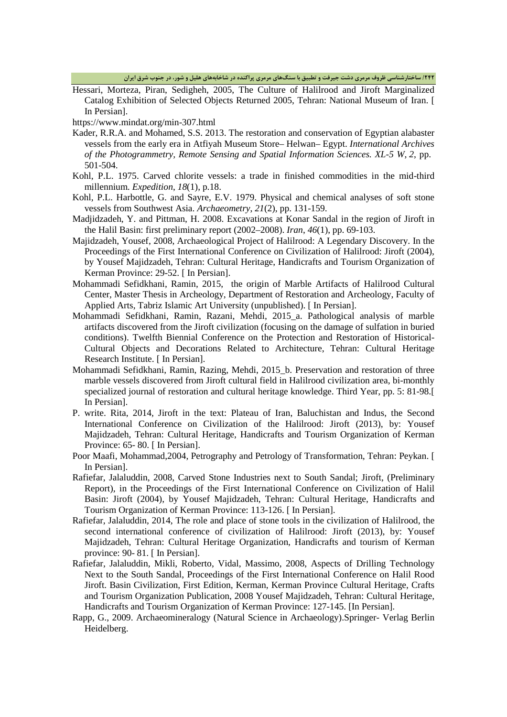**/242 ساختارشناسی ظروف مرمري دشت جیرفت و تطبیق با سنگهاي مرمري پراکنده در شاخابههاي هلیل و شور، در جنوب شرق ایران**

Hessari, Morteza, Piran, Sedigheh, 2005, The Culture of Halilrood and Jiroft Marginalized Catalog Exhibition of Selected Objects Returned 2005, Tehran: National Museum of Iran. [ In Persian].

https://www.mindat.org/min-307.html

- Kader, R.R.A. and Mohamed, S.S. 2013. The restoration and conservation of Egyptian alabaster vessels from the early era in Atfiyah Museum Store– Helwan– Egypt. *International Archives of the Photogrammetry, Remote Sensing and Spatial Information Sciences. XL-5 W*, *2*, pp. 501-504.
- Kohl, P.L. 1975. Carved chlorite vessels: a trade in finished commodities in the mid-third millennium. *Expedition*, *18*(1), p.18.
- Kohl, P.L. Harbottle, G. and Sayre, E.V. 1979. Physical and chemical analyses of soft stone vessels from Southwest Asia. *Archaeometry*, *21*(2), pp. 131-159.
- Madjidzadeh, Y. and Pittman, H. 2008. Excavations at Konar Sandal in the region of Jiroft in the Halil Basin: first preliminary report (2002–2008). *Iran*, *46*(1), pp. 69-103.
- Majidzadeh, Yousef, 2008, Archaeological Project of Halilrood: A Legendary Discovery. In the Proceedings of the First International Conference on Civilization of Halilrood: Jiroft (2004), by Yousef Majidzadeh, Tehran: Cultural Heritage, Handicrafts and Tourism Organization of Kerman Province: 29-52. [ In Persian].
- Mohammadi Sefidkhani, Ramin, 2015, the origin of Marble Artifacts of Halilrood Cultural Center, Master Thesis in Archeology, Department of Restoration and Archeology, Faculty of Applied Arts, Tabriz Islamic Art University (unpublished). [ In Persian].
- Mohammadi Sefidkhani, Ramin, Razani, Mehdi, 2015\_a. Pathological analysis of marble artifacts discovered from the Jiroft civilization (focusing on the damage of sulfation in buried conditions). Twelfth Biennial Conference on the Protection and Restoration of Historical-Cultural Objects and Decorations Related to Architecture, Tehran: Cultural Heritage Research Institute. [ In Persian].
- Mohammadi Sefidkhani, Ramin, Razing, Mehdi, 2015\_b. Preservation and restoration of three marble vessels discovered from Jiroft cultural field in Halilrood civilization area, bi-monthly specialized journal of restoration and cultural heritage knowledge. Third Year, pp. 5: 81-98.[ In Persian].
- P. write. Rita, 2014, Jiroft in the text: Plateau of Iran, Baluchistan and Indus, the Second International Conference on Civilization of the Halilrood: Jiroft (2013), by: Yousef Majidzadeh, Tehran: Cultural Heritage, Handicrafts and Tourism Organization of Kerman Province: 65-80. [In Persian].
- Poor Maafi, Mohammad,2004, Petrography and Petrology of Transformation, Tehran: Peykan. [ In Persian].
- Rafiefar, Jalaluddin, 2008, Carved Stone Industries next to South Sandal; Jiroft, (Preliminary Report), in the Proceedings of the First International Conference on Civilization of Halil Basin: Jiroft (2004), by Yousef Majidzadeh, Tehran: Cultural Heritage, Handicrafts and Tourism Organization of Kerman Province: 113-126. [ In Persian].
- Rafiefar, Jalaluddin, 2014, The role and place of stone tools in the civilization of Halilrood, the second international conference of civilization of Halilrood: Jiroft (2013), by: Yousef Majidzadeh, Tehran: Cultural Heritage Organization, Handicrafts and tourism of Kerman province: 90- 81. [ In Persian].
- Rafiefar, Jalaluddin, Mikli, Roberto, Vidal, Massimo, 2008, Aspects of Drilling Technology Next to the South Sandal, Proceedings of the First International Conference on Halil Rood Jiroft. Basin Civilization, First Edition, Kerman, Kerman Province Cultural Heritage, Crafts and Tourism Organization Publication, 2008 Yousef Majidzadeh, Tehran: Cultural Heritage, Handicrafts and Tourism Organization of Kerman Province: 127-145. [In Persian].
- Rapp, G., 2009. Archaeomineralogy (Natural Science in Archaeology).Springer- Verlag Berlin Heidelberg.